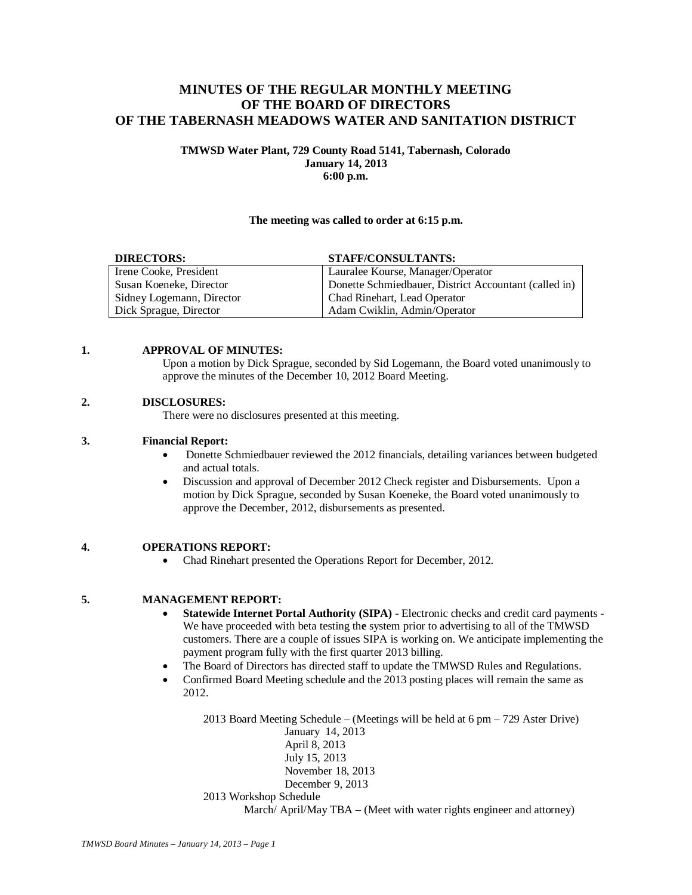# **MINUTES OF THE REGULAR MONTHLY MEETING OF THE BOARD OF DIRECTORS OF THE TABERNASH MEADOWS WATER AND SANITATION DISTRICT**

#### **TMWSD Water Plant, 729 County Road 5141, Tabernash, Colorado January 14, 2013 6:00 p.m.**

#### **The meeting was called to order at 6:15 p.m.**

| <b>DIRECTORS:</b>         | <b>STAFF/CONSULTANTS:</b>                             |
|---------------------------|-------------------------------------------------------|
| Irene Cooke, President    | Lauralee Kourse, Manager/Operator                     |
| Susan Koeneke, Director   | Donette Schmiedbauer, District Accountant (called in) |
| Sidney Logemann, Director | Chad Rinehart, Lead Operator                          |
| Dick Sprague, Director    | Adam Cwiklin, Admin/Operator                          |

#### **1. APPROVAL OF MINUTES:**

Upon a motion by Dick Sprague, seconded by Sid Logemann, the Board voted unanimously to approve the minutes of the December 10, 2012 Board Meeting.

#### **2. DISCLOSURES:**

There were no disclosures presented at this meeting.

#### **3. Financial Report:**

- Donette Schmiedbauer reviewed the 2012 financials, detailing variances between budgeted and actual totals.
- Discussion and approval of December 2012 Check register and Disbursements. Upon a motion by Dick Sprague, seconded by Susan Koeneke, the Board voted unanimously to approve the December, 2012, disbursements as presented.

## **4. OPERATIONS REPORT:**

• Chad Rinehart presented the Operations Report for December, 2012.

## **5. MANAGEMENT REPORT:**

- **Statewide Internet Portal Authority (SIPA) -** Electronic checks and credit card payments We have proceeded with beta testing th**e** system prior to advertising to all of the TMWSD customers. There are a couple of issues SIPA is working on. We anticipate implementing the payment program fully with the first quarter 2013 billing.
- The Board of Directors has directed staff to update the TMWSD Rules and Regulations.
- Confirmed Board Meeting schedule and the 2013 posting places will remain the same as 2012.

2013 Board Meeting Schedule – (Meetings will be held at 6 pm – 729 Aster Drive) January 14, 2013 April 8, 2013 July 15, 2013 November 18, 2013 December 9, 2013 2013 Workshop Schedule March/ April/May TBA – (Meet with water rights engineer and attorney)